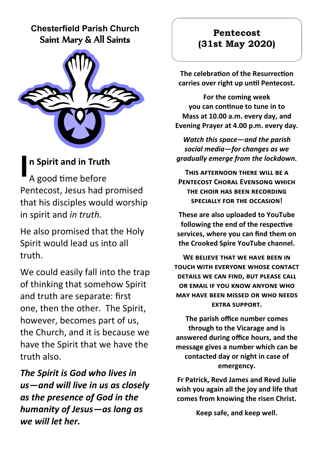### **Chesterfield Parish Church** Saint Mary & All Saints



## **n Spirit and in Truth**

**I** A good time before Pentecost, Jesus had promised that his disciples would worship in spirit and *in truth.*

He also promised that the Holy Spirit would lead us into all truth.

We could easily fall into the trap of thinking that somehow Spirit and truth are separate: first one, then the other. The Spirit, however, becomes part of us, the Church, and it is because we have the Spirit that we have the truth also.

*The Spirit is God who lives in us—and will live in us as closely as the presence of God in the humanity of Jesus—as long as we will let her.*

### **Pentecost (31st May 2020)**

**The celebration of the Resurrection carries over right up until Pentecost.**

**For the coming week you can continue to tune in to Mass at 10.00 a.m. every day, and Evening Prayer at 4.00 p.m. every day.**

*Watch this space—and the parish social media—for changes as we gradually emerge from the lockdown.*

**This afternoon there will be a Pentecost Choral Evensong which the choir has been recording specially for the occasion!**

**These are also uploaded to YouTube following the end of the respective services, where you can find them on the Crooked Spire YouTube channel.**

**WE BELIEVE THAT WE HAVE BEEN IN touch with everyone whose contact details we can find, but please call or email if you know anyone who may have been missed or who needs extra support.**

**The parish office number comes through to the Vicarage and is answered during office hours, and the message gives a number which can be contacted day or night in case of emergency.**

**Fr Patrick, Revd James and Revd Julie wish you again all the joy and life that comes from knowing the risen Christ.**

**Keep safe, and keep well.**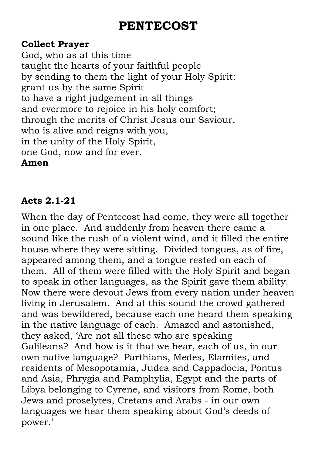# **PENTECOST**

### **Collect Prayer**

God, who as at this time taught the hearts of your faithful people by sending to them the light of your Holy Spirit: grant us by the same Spirit to have a right judgement in all things and evermore to rejoice in his holy comfort; through the merits of Christ Jesus our Saviour, who is alive and reigns with you, in the unity of the Holy Spirit, one God, now and for ever.

### **Amen**

### **Acts 2.1-21**

When the day of Pentecost had come, they were all together in one place. And suddenly from heaven there came a sound like the rush of a violent wind, and it filled the entire house where they were sitting. Divided tongues, as of fire, appeared among them, and a tongue rested on each of them. All of them were filled with the Holy Spirit and began to speak in other languages, as the Spirit gave them ability. Now there were devout Jews from every nation under heaven living in Jerusalem. And at this sound the crowd gathered and was bewildered, because each one heard them speaking in the native language of each. Amazed and astonished, they asked, 'Are not all these who are speaking Galileans? And how is it that we hear, each of us, in our own native language? Parthians, Medes, Elamites, and residents of Mesopotamia, Judea and Cappadocia, Pontus and Asia, Phrygia and Pamphylia, Egypt and the parts of Libya belonging to Cyrene, and visitors from Rome, both Jews and proselytes, Cretans and Arabs - in our own languages we hear them speaking about God's deeds of power.'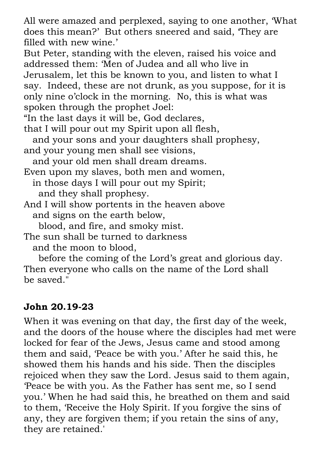All were amazed and perplexed, saying to one another, 'What does this mean?' But others sneered and said, 'They are filled with new wine'

But Peter, standing with the eleven, raised his voice and addressed them: 'Men of Judea and all who live in Jerusalem, let this be known to you, and listen to what I say. Indeed, these are not drunk, as you suppose, for it is only nine o'clock in the morning. No, this is what was spoken through the prophet Joel:

"In the last days it will be, God declares,

that I will pour out my Spirit upon all flesh,

 and your sons and your daughters shall prophesy, and your young men shall see visions,

and your old men shall dream dreams.

Even upon my slaves, both men and women,

 in those days I will pour out my Spirit; and they shall prophesy.

And I will show portents in the heaven above and signs on the earth below,

blood, and fire, and smoky mist.

The sun shall be turned to darkness and the moon to blood,

 before the coming of the Lord's great and glorious day. Then everyone who calls on the name of the Lord shall be saved."

### **John 20.19-23**

When it was evening on that day, the first day of the week, and the doors of the house where the disciples had met were locked for fear of the Jews, Jesus came and stood among them and said, 'Peace be with you.' After he said this, he showed them his hands and his side. Then the disciples rejoiced when they saw the Lord. Jesus said to them again, 'Peace be with you. As the Father has sent me, so I send you.' When he had said this, he breathed on them and said to them, 'Receive the Holy Spirit. If you forgive the sins of any, they are forgiven them; if you retain the sins of any, they are retained.'